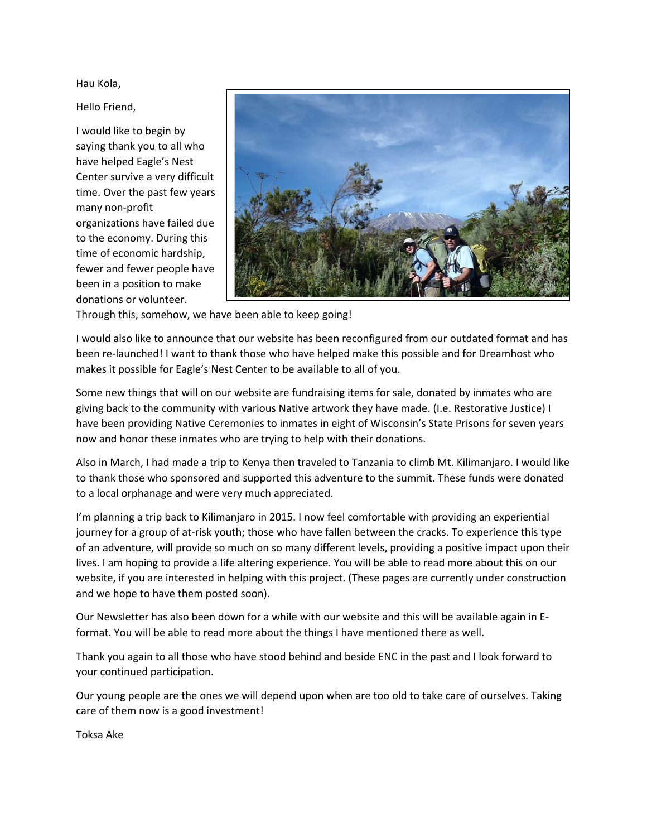Hau Kola,

Hello Friend,

I would like to begin by saying thank you to all who have helped Eagle's Nest Center survive a very difficult time. Over the past few years many non‐profit organizations have failed due to the economy. During this time of economic hardship, fewer and fewer people have been in a position to make donations or volunteer.



Through this, somehow, we have been able to keep going!

I would also like to announce that our website has been reconfigured from our outdated format and has been re‐launched! I want to thank those who have helped make this possible and for Dreamhost who makes it possible for Eagle's Nest Center to be available to all of you.

Some new things that will on our website are fundraising items for sale, donated by inmates who are giving back to the community with various Native artwork they have made. (I.e. Restorative Justice) I have been providing Native Ceremonies to inmates in eight of Wisconsin's State Prisons for seven years now and honor these inmates who are trying to help with their donations.

Also in March, I had made a trip to Kenya then traveled to Tanzania to climb Mt. Kilimanjaro. I would like to thank those who sponsored and supported this adventure to the summit. These funds were donated to a local orphanage and were very much appreciated.

I'm planning a trip back to Kilimanjaro in 2015. I now feel comfortable with providing an experiential journey for a group of at‐risk youth; those who have fallen between the cracks. To experience this type of an adventure, will provide so much on so many different levels, providing a positive impact upon their lives. I am hoping to provide a life altering experience. You will be able to read more about this on our website, if you are interested in helping with this project. (These pages are currently under construction and we hope to have them posted soon).

Our Newsletter has also been down for a while with our website and this will be available again in E‐ format. You will be able to read more about the things I have mentioned there as well.

Thank you again to all those who have stood behind and beside ENC in the past and I look forward to your continued participation.

Our young people are the ones we will depend upon when are too old to take care of ourselves. Taking care of them now is a good investment!

Toksa Ake